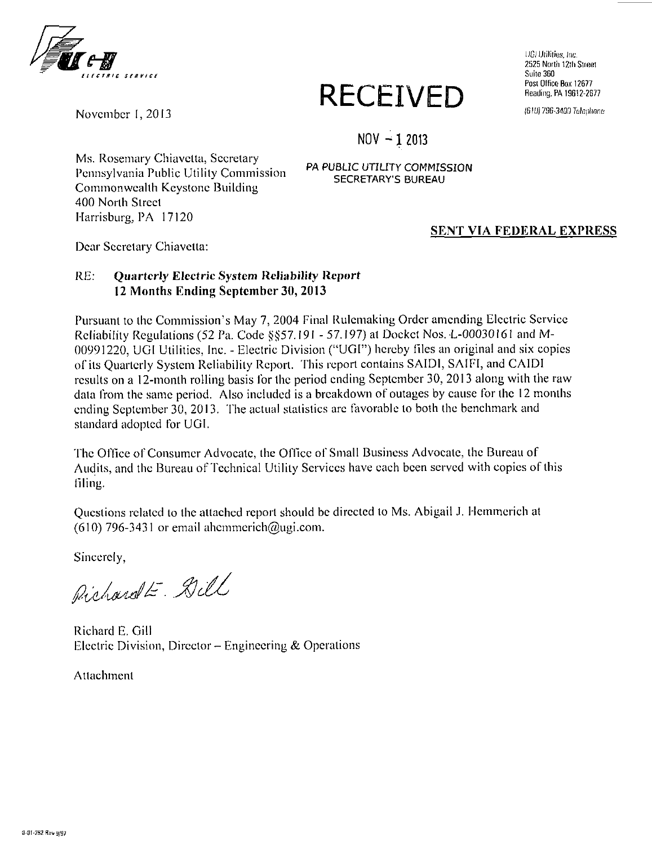

# RECEIVED Reading, PA 19612-2677

IJGJ Utilities, Inc. 2525 North 12th Street Suite 360 Post Office Box 12677<br>Reading, PA 19612-2677

*November 1, 2013 \m)im-mi)M?4mm* 

**NOV -12013** 

Ms. Rosemary Chiavclta, Secretary Pennsylvania Public Utility Commission Commonwealth Keystone Building 400 North Street Harrisburg, PA 17120

PA PUBLIC UTILITY COMMISSION SECRETARY'S BUREAU

### SENT VIA FEDERAL EXPRESS

Dear Secretary Chiavetta:

## **RE: Quarterly Electric System Reliability Report 12 Months Ending September 30, 2013**

Pursuant to the Commission's May 7, 2004 Final Rulemaking Order amending Electric Service Reliability Regulations (52 Pa. Code §§57.191 - 57.197) at Docket Nos. L-00030161 and M-00991220, UGI Utilities, Inc. - Electric Division ("UGI") hereby files an original and six copies of its Quarterly System Reliability Report. This report contains SAIDI, SAIFI, and CAIDI results on a 12-monlh rolling basis for the period ending September 30, 2013 along with the raw data from the same period. Also included is a breakdown of outages by cause for the 12 months ending September 30, 2013. The actual statistics arc favorable to both the benchmark and standard adopted for UGI.

The Office of Consumer Advocate, the Office of Small Business Advocate, the Bureau of Audits, and the Bureau of Technical Utility Services have each been served with copies of this filing.

Questions related to the attached report should be directed to Ms. Abigail J. Hemmerich at (610) 796-3431 or email ahemmerich@ugi.com.

Sincerely,

Pichardt - Dill

Richard E. Gill Electric Division, Director – Engineering & Operations Electric Division, Director - Engineering & Operations

Attachment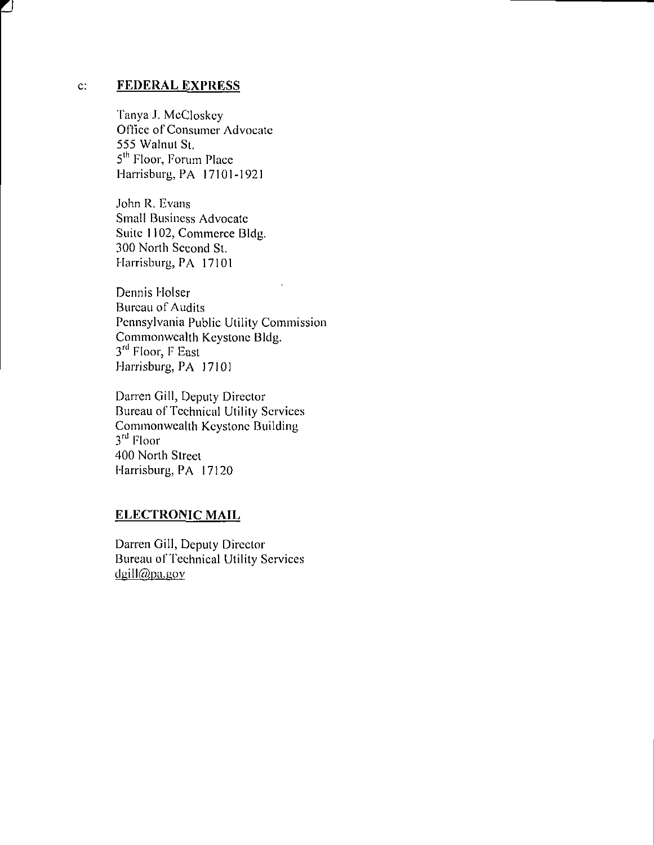#### **c: FEDERAL EXPRESS**

Tanya J. McCloskcy Office of Consumer Advocate 555 Walnut St. 5<sup>m</sup> Floor, Forum Place -larrisburg, PA 17101-192

John R. Evans Small Business Advocate Suite 1102, Commerce Bldg. 300 North Second St. Harrisburg, PA 17101

Dennis Holser Bureau of Audits Pennsylvania Public Utility Commission Commonwealth Keystone Bldg. 3<sup>rd</sup> Floor, F East Harrisburg, PA 17101

Darren Gill, Deputy Director Bureau of Technical Utility Services Commonwealth Keystone Building 3<sup>re</sup> Floor 400 North Street Harrisburg, PA 17120

## **ELECTRONIC MAIL**

Darren Gill, Deputy Director Bureau of Technical Utility Services  $dqill@pa.gov$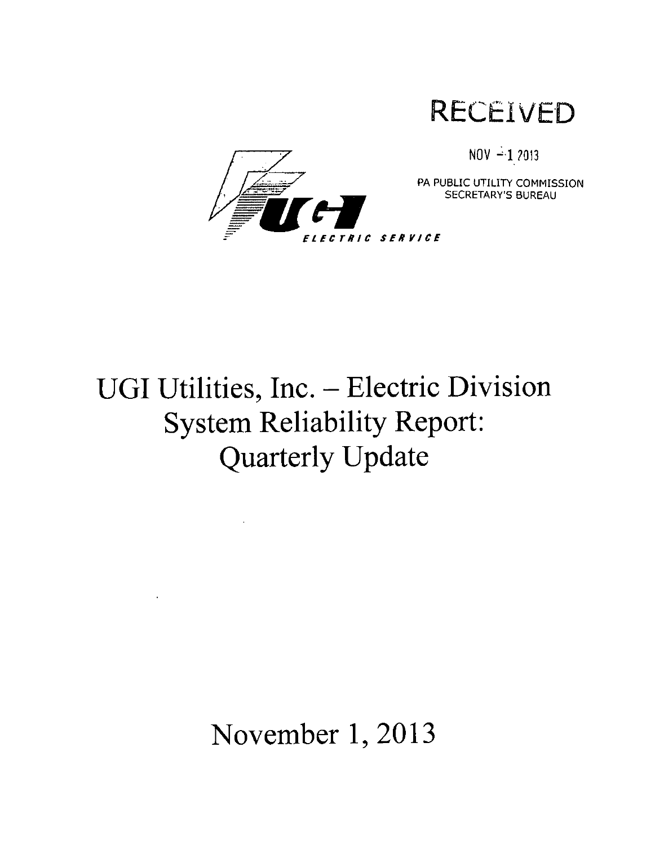**RECEIVED** 



 $NOV -12013$ 

PA PUBLIC UTILITY COMMISSION SECRETARY'S BUREAU

# **UGI Utilities, Inc. - Electric Division System Reliability Report: Quarterly Update**

**November 1, 2013** 

 $\sim$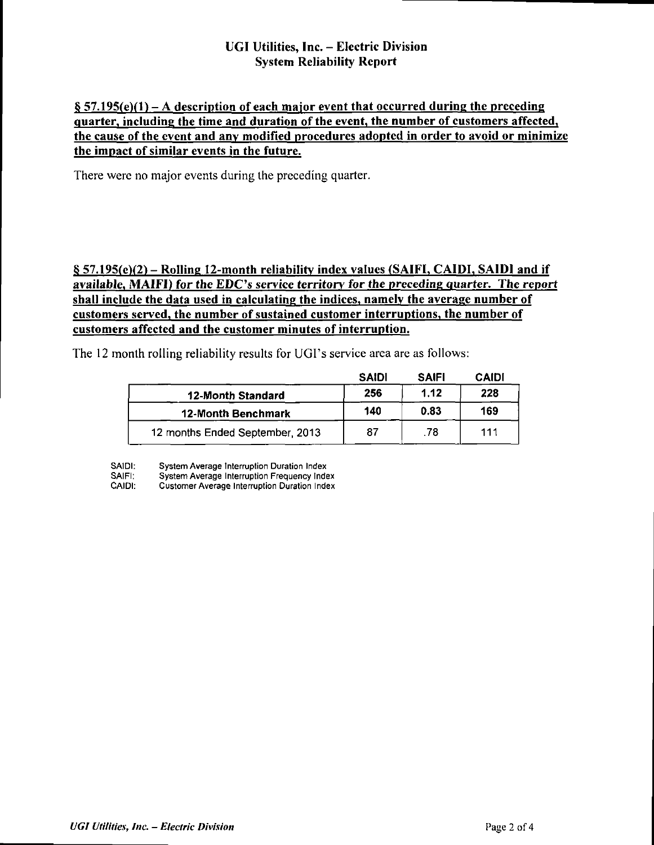## **UGI Utilities, Inc. - Electric Division System Reliability Report**

## $\S 57.195(e)(1) - A$  description of each major event that occurred during the preceding **quarter, including the time and duration of the event, the number of customers affected, the cause of the event and any modified procedures adopted in order to avoid or minimize the impact of similar events in the future.**

**There were no major events during the preceding quarter.** 

## **§ 57.195(e)(2) - Rolling 12-month reliability index values (SAIFI, CAIDI, SAIDI and if available, MAIFI) for the EDC's service territory for the preceding quarter. The report shall include the data used in calculating the indices, namely the average number of customers served, the number of sustained customer interruptions, the number of customers affected and the customer minutes of interruption.**

**The 12 month rolling reliability results for UGI's service area are as follows:** 

|                                 | <b>SAIDI</b> | <b>SAIFI</b> | CAIDI |
|---------------------------------|--------------|--------------|-------|
| 12-Month Standard               | 256          | 1.12         | 228   |
| <b>12-Month Benchmark</b>       | 140          | 0.83         | 169   |
| 12 months Ended September, 2013 | 87           | .78          | 111   |

SAIDI: System Average Interruption Duration Index<br>SAIFI: System Average Interruption Frequency Inde

SAIFI: System Average Interruption Frequency Index<br>CAIDI: Customer Average Interruption Duration Index

Customer Average Interruption Duration Index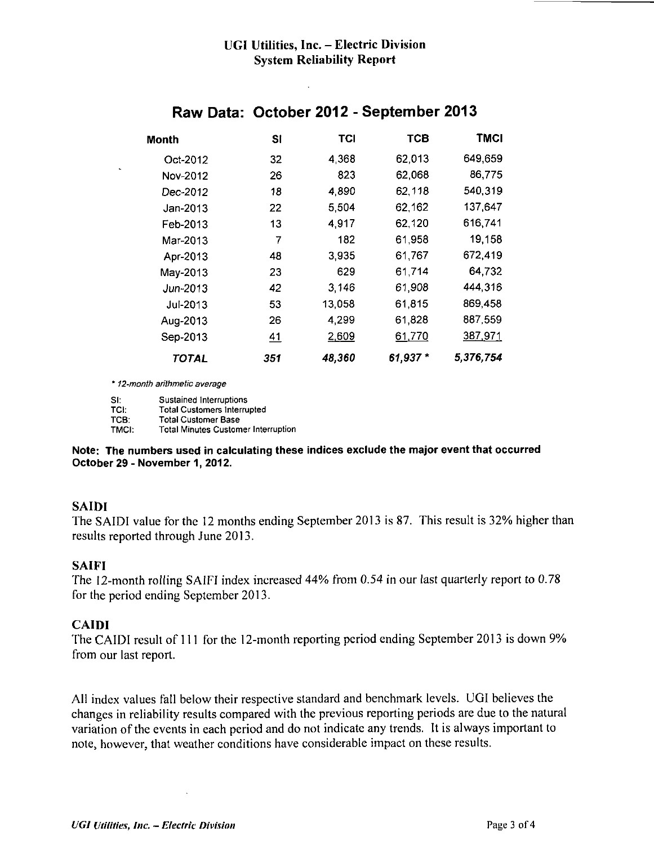| Month    | SI  | TCI    | тсв      | <b>TMCI</b> |
|----------|-----|--------|----------|-------------|
| Oct-2012 | 32  | 4,368  | 62.013   | 649,659     |
| Nov-2012 | 26  | 823    | 62.068   | 86,775      |
| Dec-2012 | 18  | 4,890  | 62,118   | 540,319     |
| Jan-2013 | 22  | 5,504  | 62.162   | 137,647     |
| Feb-2013 | 13  | 4,917  | 62,120   | 616,741     |
| Mar-2013 | 7   | 182    | 61,958   | 19,158      |
| Apr-2013 | 48  | 3,935  | 61.767   | 672,419     |
| May-2013 | 23  | 629    | 61,714   | 64,732      |
| Jun-2013 | 42  | 3,146  | 61,908   | 444,316     |
| Jul-2013 | 53  | 13,058 | 61,815   | 869,458     |
| Aug-2013 | 26  | 4,299  | 61,828   | 887,559     |
| Sep-2013 | 41  | 2,609  | 61,770   | 387,971     |
| TOTAL    | 351 | 48,360 | 61,937 * | 5,376,754   |

## **Raw Data: October 2012 - September 2013**

' 12-month arithmetic average

SI: Sustained Interruptions<br>TCI: Total Customers Interru TCI: Total Customers Interrupted<br>TCB: Total Customer Base TCB: Total Customer Base<br>TMCI: Total Minutes Custom Total Minutes Customer Interruption

#### **Note: The numbers used in calculating these indices exclude the major event that occurred October 29 - November 1, 2012.**

## **SAIDI**

The SAIDI value for the 12 months ending September 2013 is 87. This result is 32% higher than results reported through June 2013.

## **SAIFI**

The 12-month rolling SAIFI index increased 44% from 0.54 in our last quarterly report to 0.78 for the period ending September 2013.

## **CAIDI**

The CAIDI result of 111 for the 12-month reporting period ending September 2013 is down 9% from our last report.

All index values fall below their respective standard and benchmark levels. UGI believes the changes in reliability results compared with the previous reporting periods are due to the natural variation of the events in each period and do not indicate any trends. It is always important to note, however, that weather conditions have considerable impact on these results.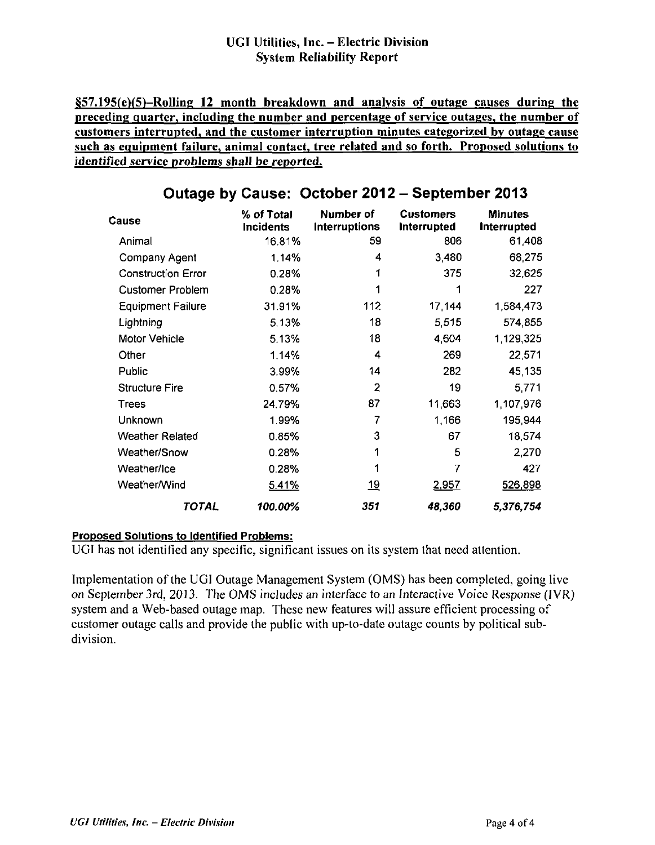## **UGI Utilities, Inc. - Electric Division System Reliability Report**

**4i57.195(e)(5)-RolUng 12 month breakdown and analysis of outage causes during the preceding quarter, including the number and percentage of service outages, the number of customers interrupted, and the customer interruption minutes categorized by outage cause such as equipment failure, animal contact, tree related and so forth. Proposed solutions to identified service problems shall be reported.** 

| ÷                         |                                |                            |                                        |                               |
|---------------------------|--------------------------------|----------------------------|----------------------------------------|-------------------------------|
| Cause                     | % of Total<br><b>Incidents</b> | Number of<br>Interruptions | <b>Customers</b><br><b>Interrupted</b> | <b>Minutes</b><br>Interrupted |
| Animal                    | 16.81%                         | 59                         | 806                                    | 61,408                        |
| Company Agent             | 1.14%                          | 4                          | 3,480                                  | 68,275                        |
| <b>Construction Error</b> | 0.28%                          |                            | 375                                    | 32,625                        |
| <b>Customer Problem</b>   | 0.28%                          |                            |                                        | 227                           |
| <b>Equipment Failure</b>  | 31.91%                         | 112                        | 17,144                                 | 1,584,473                     |
| Lightning                 | 5.13%                          | 18                         | 5,515                                  | 574,855                       |
| Motor Vehicle             | 5.13%                          | 18                         | 4,604                                  | 1,129,325                     |
| Other                     | 1.14%                          | 4                          | 269                                    | 22,571                        |
| Public                    | 3.99%                          | 14                         | 282                                    | 45,135                        |
| <b>Structure Fire</b>     | 0.57%                          | 2                          | 19                                     | 5,771                         |
| Trees                     | 24.79%                         | 87                         | 11,663                                 | 1,107,976                     |
| Unknown                   | 1.99%                          | 7                          | 1.166                                  | 195,944                       |
| <b>Weather Related</b>    | 0.85%                          | 3                          | 67                                     | 18,574                        |
| Weather/Snow              | 0.28%                          |                            | 5                                      | 2,270                         |
| Weather/Ice               | 0.28%                          |                            | 7                                      | 427                           |
| Weather/Wind              | 5.41%                          | <u> 19</u>                 | <u>2.957</u>                           | 526,898                       |
| TOTAL                     | 100.00%                        | 351                        | 48,360                                 | 5,376,754                     |

## **Outage by Cause: October 2012 - September 2013**

### **Proposed Solutions to Identified Problems:**

UGI has not identified any specific, significant issues on its system that need attention.

Implementation of the UGI Outage Management System (OMS) has been completed, going live on September 3rd, 2013. The OMS includes an interface to an Interactive Voice Response (IVR) system and a Web-based outage map. These new features will assure efficient processing of customer outage calls and provide the public with up-to-date outage counts by political subdivision.